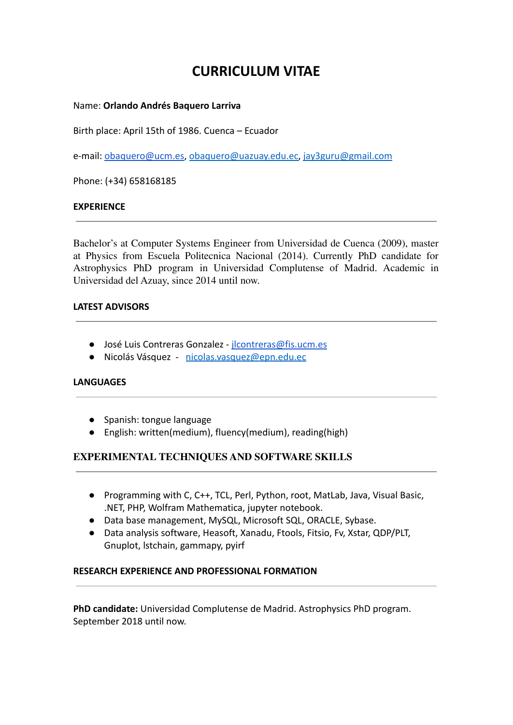# **CURRICULUM VITAE**

### Name: **Orlando Andrés Baquero Larriva**

Birth place: April 15th of 1986. Cuenca – Ecuador

e-mail: [obaquero@ucm.es](mailto:obaquero@ucm.es), [obaquero@uazuay.edu.ec,](mailto:obaquero@uazuay.edu.ec) [jay3guru@gmail.com](mailto:jay3guru@gmail.com)

Phone: (+34) 658168185

## **EXPERIENCE**

Bachelor's at Computer Systems Engineer from Universidad de Cuenca (2009), master at Physics from Escuela Politecnica Nacional (2014). Currently PhD candidate for Astrophysics PhD program in Universidad Complutense of Madrid. Academic in Universidad del Azuay, since 2014 until now.

#### **LATEST ADVISORS**

- José Luis Contreras Gonzalez *[jlcontreras@fis.ucm.es](mailto:jlcontreras@fis.ucm.es)*
- Nicolás Vásquez [nicolas.vasquez@epn.edu.ec](mailto:nicolas.vasquez@epn.edu.ec)

#### **LANGUAGES**

- Spanish: tongue language
- English: written(medium), fluency(medium), reading(high)

# **EXPERIMENTAL TECHNIQUES AND SOFTWARE SKILLS**

- **●** Programming with C, C++, TCL, Perl, Python, root, MatLab, Java, Visual Basic, .NET, PHP, Wolfram Mathematica, jupyter notebook.
- **●** Data base management, MySQL, Microsoft SQL, ORACLE, Sybase.
- **●** Data analysis software, Heasoft, Xanadu, Ftools, Fitsio, Fv, Xstar, QDP/PLT, Gnuplot, lstchain, gammapy, pyirf

#### **RESEARCH EXPERIENCE AND PROFESSIONAL FORMATION**

**PhD candidate:** Universidad Complutense de Madrid. Astrophysics PhD program. September 2018 until now.